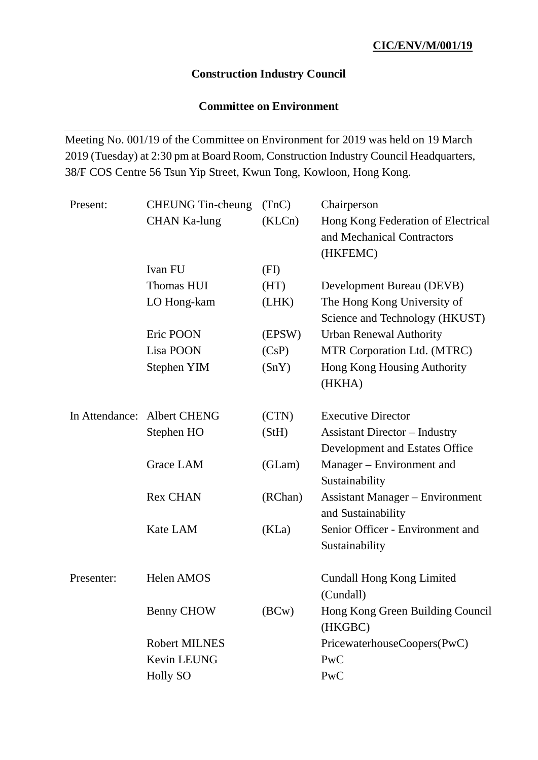### **Construction Industry Council**

### **Committee on Environment**

Meeting No. 001/19 of the Committee on Environment for 2019 was held on 19 March 2019 (Tuesday) at 2:30 pm at Board Room, Construction Industry Council Headquarters, 38/F COS Centre 56 Tsun Yip Street, Kwun Tong, Kowloon, Hong Kong.

| Present:   | <b>CHEUNG</b> Tin-cheung    | (TnC)   | Chairperson                            |
|------------|-----------------------------|---------|----------------------------------------|
|            | <b>CHAN Ka-lung</b>         | (KLCn)  | Hong Kong Federation of Electrical     |
|            |                             |         | and Mechanical Contractors             |
|            |                             |         | (HKFEMC)                               |
|            | Ivan FU                     | (FI)    |                                        |
|            | Thomas HUI                  | (HT)    | Development Bureau (DEVB)              |
|            | LO Hong-kam                 | (LHK)   | The Hong Kong University of            |
|            |                             |         | Science and Technology (HKUST)         |
|            | Eric POON                   | (EPSW)  | <b>Urban Renewal Authority</b>         |
|            | Lisa POON                   | (CsP)   | MTR Corporation Ltd. (MTRC)            |
|            | Stephen YIM                 | (SnY)   | Hong Kong Housing Authority            |
|            |                             |         | (HKHA)                                 |
|            |                             |         |                                        |
|            | In Attendance: Albert CHENG | (CTN)   | <b>Executive Director</b>              |
|            | Stephen HO                  | (StH)   | <b>Assistant Director - Industry</b>   |
|            |                             |         | Development and Estates Office         |
|            | Grace LAM                   | (GLam)  | Manager – Environment and              |
|            |                             |         | Sustainability                         |
|            | <b>Rex CHAN</b>             | (RChan) | <b>Assistant Manager – Environment</b> |
|            |                             |         | and Sustainability                     |
|            | Kate LAM                    | (KLa)   | Senior Officer - Environment and       |
|            |                             |         | Sustainability                         |
|            |                             |         |                                        |
| Presenter: | Helen AMOS                  |         | <b>Cundall Hong Kong Limited</b>       |
|            |                             |         | (Cundall)                              |
|            | <b>Benny CHOW</b>           | (BCW)   | Hong Kong Green Building Council       |
|            |                             |         | (HKGBC)                                |
|            | <b>Robert MILNES</b>        |         | PricewaterhouseCoopers(PwC)            |
|            | Kevin LEUNG                 |         | PwC                                    |
|            | <b>Holly SO</b>             |         | PwC                                    |
|            |                             |         |                                        |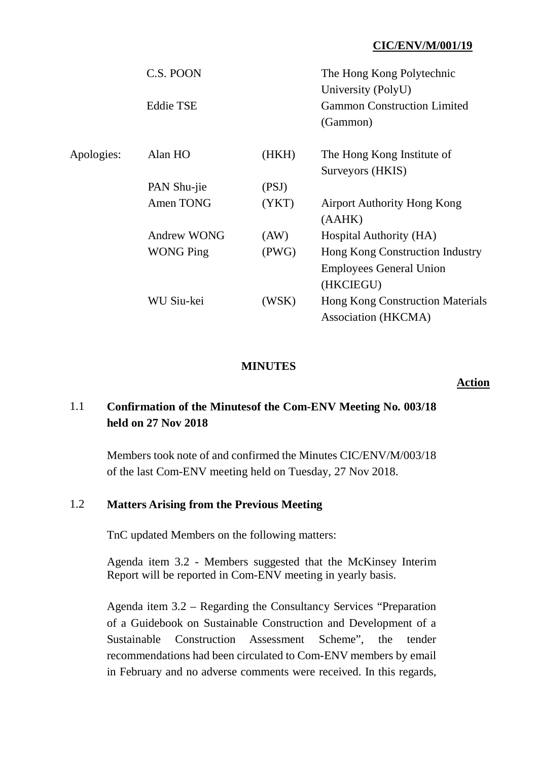|            | C.S. POON          |       | The Hong Kong Polytechnic<br>University (PolyU) |
|------------|--------------------|-------|-------------------------------------------------|
|            | <b>Eddie TSE</b>   |       | <b>Gammon Construction Limited</b><br>(Gammon)  |
| Apologies: | Alan HO            | (HKH) | The Hong Kong Institute of                      |
|            |                    |       | Surveyors (HKIS)                                |
|            | PAN Shu-jie        | (PSJ) |                                                 |
|            | Amen TONG          | (YKT) | <b>Airport Authority Hong Kong</b>              |
|            |                    |       | (AAHK)                                          |
|            | <b>Andrew WONG</b> | (AW)  | Hospital Authority (HA)                         |
|            | <b>WONG Ping</b>   | (PWG) | Hong Kong Construction Industry                 |
|            |                    |       | <b>Employees General Union</b>                  |
|            |                    |       | (HKCIEGU)                                       |
|            | WU Siu-kei         | (WSK) | <b>Hong Kong Construction Materials</b>         |
|            |                    |       | <b>Association (HKCMA)</b>                      |

### **MINUTES**

#### **Action**

# 1.1 **Confirmation of the Minutesof the Com-ENV Meeting No. 003/18 held on 27 Nov 2018**

Members took note of and confirmed the Minutes CIC/ENV/M/003/18 of the last Com-ENV meeting held on Tuesday, 27 Nov 2018.

#### 1.2 **Matters Arising from the Previous Meeting**

TnC updated Members on the following matters:

Agenda item 3.2 - Members suggested that the McKinsey Interim Report will be reported in Com-ENV meeting in yearly basis.

Agenda item 3.2 – Regarding the Consultancy Services "Preparation of a Guidebook on Sustainable Construction and Development of a Sustainable Construction Assessment Scheme", the tender recommendations had been circulated to Com-ENV members by email in February and no adverse comments were received. In this regards,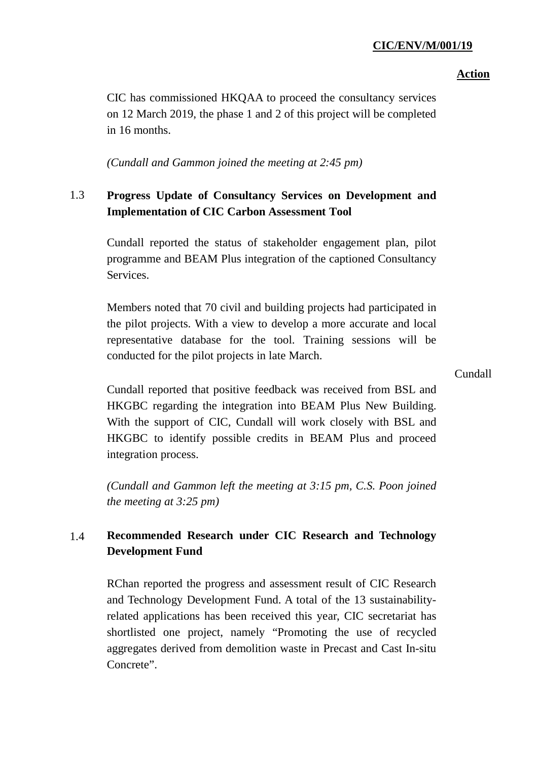### **Action**

CIC has commissioned HKQAA to proceed the consultancy services on 12 March 2019, the phase 1 and 2 of this project will be completed in 16 months.

*(Cundall and Gammon joined the meeting at 2:45 pm)*

# 1.3 **Progress Update of Consultancy Services on Development and Implementation of CIC Carbon Assessment Tool**

Cundall reported the status of stakeholder engagement plan, pilot programme and BEAM Plus integration of the captioned Consultancy Services.

Members noted that 70 civil and building projects had participated in the pilot projects. With a view to develop a more accurate and local representative database for the tool. Training sessions will be conducted for the pilot projects in late March.

Cundall

Cundall reported that positive feedback was received from BSL and HKGBC regarding the integration into BEAM Plus New Building. With the support of CIC, Cundall will work closely with BSL and HKGBC to identify possible credits in BEAM Plus and proceed integration process.

*(Cundall and Gammon left the meeting at 3:15 pm, C.S. Poon joined the meeting at 3:25 pm)*

# 1.4 **Recommended Research under CIC Research and Technology Development Fund**

RChan reported the progress and assessment result of CIC Research and Technology Development Fund. A total of the 13 sustainabilityrelated applications has been received this year, CIC secretariat has shortlisted one project, namely "Promoting the use of recycled aggregates derived from demolition waste in Precast and Cast In-situ Concrete".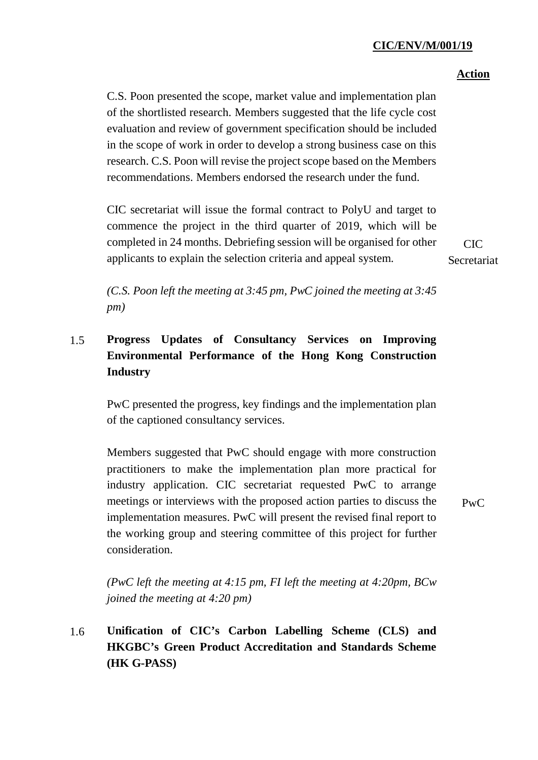### **Action**

CIC Secretariat

C.S. Poon presented the scope, market value and implementation plan of the shortlisted research. Members suggested that the life cycle cost evaluation and review of government specification should be included in the scope of work in order to develop a strong business case on this research. C.S. Poon will revise the project scope based on the Members recommendations. Members endorsed the research under the fund.

CIC secretariat will issue the formal contract to PolyU and target to commence the project in the third quarter of 2019, which will be completed in 24 months. Debriefing session will be organised for other applicants to explain the selection criteria and appeal system.

*(C.S. Poon left the meeting at 3:45 pm, PwC joined the meeting at 3:45 pm)*

# 1.5 **Progress Updates of Consultancy Services on Improving Environmental Performance of the Hong Kong Construction Industry**

PwC presented the progress, key findings and the implementation plan of the captioned consultancy services.

Members suggested that PwC should engage with more construction practitioners to make the implementation plan more practical for industry application. CIC secretariat requested PwC to arrange meetings or interviews with the proposed action parties to discuss the implementation measures. PwC will present the revised final report to the working group and steering committee of this project for further consideration.

PwC

*(PwC left the meeting at 4:15 pm, FI left the meeting at 4:20pm, BCw joined the meeting at 4:20 pm)*

1.6 **Unification of CIC's Carbon Labelling Scheme (CLS) and HKGBC's Green Product Accreditation and Standards Scheme (HK G-PASS)**